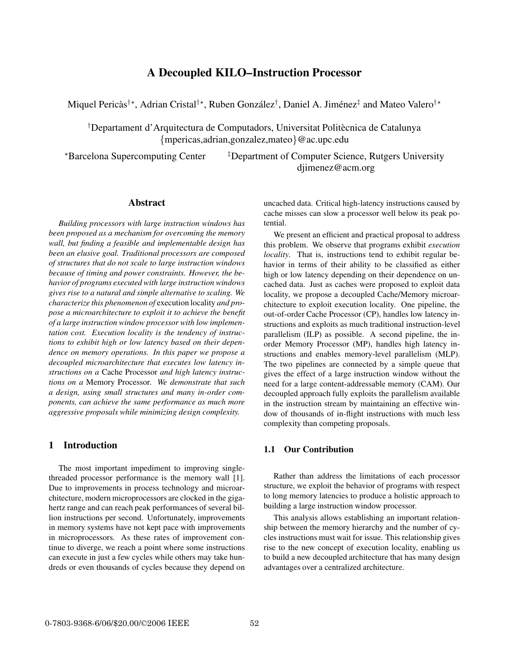# **A Decoupled KILO–Instruction Processor**

Miquel Pericàs<sup>†\*</sup>, Adrian Cristal<sup>†\*</sup>, Ruben González<sup>†</sup>, Daniel A. Jiménez<sup>‡</sup> and Mateo Valero<sup>†\*</sup>

<sup>†</sup>Departament d'Arquitectura de Computadors, Universitat Politècnica de Catalunya {mpericas,adrian,gonzalez,mateo}@ac.upc.edu

\*Barcelona Supercomputing Center  $\ddot{\text{ }^{\text{+}}}$  Department of Computer Science, Rutgers University djimenez@acm.org

## **Abstract**

*Building processors with large instruction windows has been proposed as a mechanism for overcoming the memory wall, but finding a feasible and implementable design has been an elusive goal. Traditional processors are composed of structures that do not scale to large instruction windows because of timing and power constraints. However, the behavior of programs executed with large instruction windows gives rise to a natural and simple alternative to scaling. We characterize this phenomenon of* execution locality *and propose a microarchitecture to exploit it to achieve the benefit of a large instruction window processor with low implementation cost. Execution locality is the tendency of instructions to exhibit high or low latency based on their dependence on memory operations. In this paper we propose a decoupled microarchitecture that executes low latency instructions on a* Cache Processor *and high latency instructions on a* Memory Processor*. We demonstrate that such a design, using small structures and many in-order components, can achieve the same performance as much more aggressive proposals while minimizing design complexity.*

## **1 Introduction**

The most important impediment to improving singlethreaded processor performance is the memory wall [1]. Due to improvements in process technology and microarchitecture, modern microprocessors are clocked in the gigahertz range and can reach peak performances of several billion instructions per second. Unfortunately, improvements in memory systems have not kept pace with improvements in microprocessors. As these rates of improvement continue to diverge, we reach a point where some instructions can execute in just a few cycles while others may take hundreds or even thousands of cycles because they depend on

uncached data. Critical high-latency instructions caused by cache misses can slow a processor well below its peak potential.

We present an efficient and practical proposal to address this problem. We observe that programs exhibit *execution locality*. That is, instructions tend to exhibit regular behavior in terms of their ability to be classified as either high or low latency depending on their dependence on uncached data. Just as caches were proposed to exploit data locality, we propose a decoupled Cache/Memory microarchitecture to exploit execution locality. One pipeline, the out-of-order Cache Processor (CP), handles low latency instructions and exploits as much traditional instruction-level parallelism (ILP) as possible. A second pipeline, the inorder Memory Processor (MP), handles high latency instructions and enables memory-level parallelism (MLP). The two pipelines are connected by a simple queue that gives the effect of a large instruction window without the need for a large content-addressable memory (CAM). Our decoupled approach fully exploits the parallelism available in the instruction stream by maintaining an effective window of thousands of in-flight instructions with much less complexity than competing proposals.

### **1.1 Our Contribution**

Rather than address the limitations of each processor structure, we exploit the behavior of programs with respect to long memory latencies to produce a holistic approach to building a large instruction window processor.

This analysis allows establishing an important relationship between the memory hierarchy and the number of cycles instructions must wait for issue. This relationship gives rise to the new concept of execution locality, enabling us to build a new decoupled architecture that has many design advantages over a centralized architecture.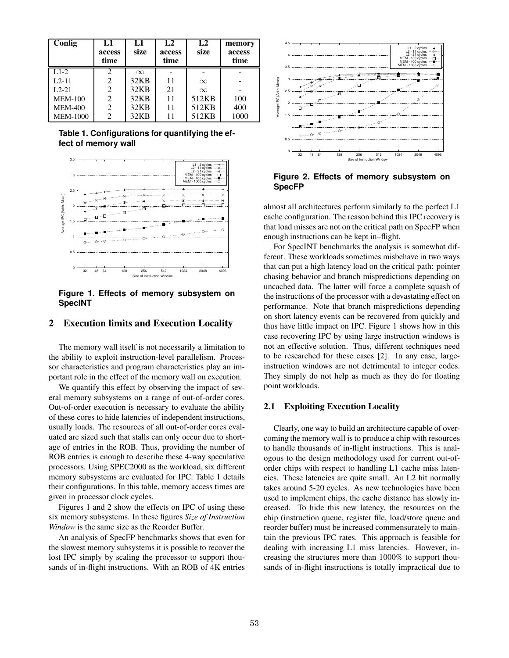| Config          | L1<br>access<br>time | L1<br>size | L <sub>2</sub><br>access<br>time | L2<br>size | memory<br>access<br>time |
|-----------------|----------------------|------------|----------------------------------|------------|--------------------------|
| $1.1 - 2.$      |                      | $\infty$   |                                  |            |                          |
| $L2-11$         |                      | 32KB       | 11                               | $\infty$   |                          |
| $L2-21$         |                      | 32KB       | 21                               | $\infty$   |                          |
| <b>MEM-100</b>  | 2                    | 32KB       | 11                               | 512KB      | 100                      |
| <b>MEM-400</b>  | 2                    | 32KB       | 11                               | 512KB      | 400                      |
| <b>MEM-1000</b> |                      | 32KB       | 11                               | 512KB      | 1000                     |

**Table 1. Configurations for quantifying the effect of memory wall**



**Figure 1. Effects of memory subsystem on SpecINT**

### **2 Execution limits and Execution Locality**

The memory wall itself is not necessarily a limitation to the ability to exploit instruction-level parallelism. Processor characteristics and program characteristics play an important role in the effect of the memory wall on execution.

We quantify this effect by observing the impact of several memory subsystems on a range of out-of-order cores. Out-of-order execution is necessary to evaluate the ability of these cores to hide latencies of independent instructions, usually loads. The resources of all out-of-order cores evaluated are sized such that stalls can only occur due to shortage of entries in the ROB. Thus, providing the number of ROB entries is enough to describe these 4-way speculative processors. Using SPEC2000 as the workload, six different memory subsystems are evaluated for IPC. Table 1 details their configurations. In this table, memory access times are given in processor clock cycles.

Figures 1 and 2 show the effects on IPC of using these six memory subsystems. In these figures *Size of Instruction Window* is the same size as the Reorder Buffer.

An analysis of SpecFP benchmarks shows that even for the slowest memory subsystems it is possible to recover the lost IPC simply by scaling the processor to support thousands of in-flight instructions. With an ROB of 4K entries



**Figure 2. Effects of memory subsystem on SpecFP**

almost all architectures perform similarly to the perfect L1 cache configuration. The reason behind this IPC recovery is that load misses are not on the critical path on SpecFP when enough instructions can be kept in–flight.

For SpecINT benchmarks the analysis is somewhat different. These workloads sometimes misbehave in two ways that can put a high latency load on the critical path: pointer chasing behavior and branch mispredictions depending on uncached data. The latter will force a complete squash of the instructions of the processor with a devastating effect on performance. Note that branch mispredictions depending on short latency events can be recovered from quickly and thus have little impact on IPC. Figure 1 shows how in this case recovering IPC by using large instruction windows is not an effective solution. Thus, different techniques need to be researched for these cases [2]. In any case, largeinstruction windows are not detrimental to integer codes. They simply do not help as much as they do for floating point workloads.

#### **2.1 Exploiting Execution Locality**

Clearly, one way to build an architecture capable of overcoming the memory wall is to produce a chip with resources to handle thousands of in-flight instructions. This is analogous to the design methodology used for current out-oforder chips with respect to handling L1 cache miss latencies. These latencies are quite small. An L2 hit normally takes around 5-20 cycles. As new technologies have been used to implement chips, the cache distance has slowly increased. To hide this new latency, the resources on the chip (instruction queue, register file, load/store queue and reorder buffer) must be increased commensurately to maintain the previous IPC rates. This approach is feasible for dealing with increasing L1 miss latencies. However, increasing the structures more than 1000% to support thousands of in-flight instructions is totally impractical due to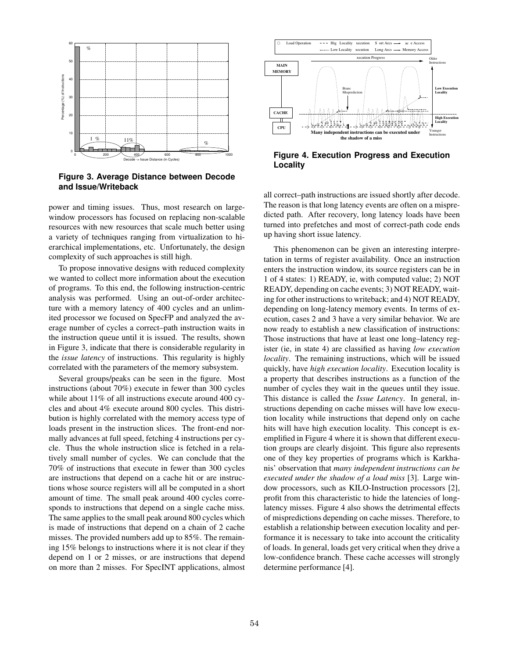

**Figure 3. Average Distance between Decode and Issue/Writeback**

power and timing issues. Thus, most research on largewindow processors has focused on replacing non-scalable resources with new resources that scale much better using a variety of techniques ranging from virtualization to hierarchical implementations, etc. Unfortunately, the design complexity of such approaches is still high.

To propose innovative designs with reduced complexity we wanted to collect more information about the execution of programs. To this end, the following instruction-centric analysis was performed. Using an out-of-order architecture with a memory latency of 400 cycles and an unlimited processor we focused on SpecFP and analyzed the average number of cycles a correct–path instruction waits in the instruction queue until it is issued. The results, shown in Figure 3, indicate that there is considerable regularity in the *issue latency* of instructions. This regularity is highly correlated with the parameters of the memory subsystem.

Several groups/peaks can be seen in the figure. Most instructions (about 70%) execute in fewer than 300 cycles while about 11% of all instructions execute around 400 cycles and about 4% execute around 800 cycles. This distribution is highly correlated with the memory access type of loads present in the instruction slices. The front-end normally advances at full speed, fetching 4 instructions per cycle. Thus the whole instruction slice is fetched in a relatively small number of cycles. We can conclude that the 70% of instructions that execute in fewer than 300 cycles are instructions that depend on a cache hit or are instructions whose source registers will all be computed in a short amount of time. The small peak around 400 cycles corresponds to instructions that depend on a single cache miss. The same applies to the small peak around 800 cycles which is made of instructions that depend on a chain of 2 cache misses. The provided numbers add up to 85%. The remaining 15% belongs to instructions where it is not clear if they depend on 1 or 2 misses, or are instructions that depend on more than 2 misses. For SpecINT applications, almost



**Figure 4. Execution Progress and Execution Locality**

all correct–path instructions are issued shortly after decode. The reason is that long latency events are often on a mispredicted path. After recovery, long latency loads have been turned into prefetches and most of correct-path code ends up having short issue latency.

This phenomenon can be given an interesting interpretation in terms of register availability. Once an instruction enters the instruction window, its source registers can be in 1 of 4 states: 1) READY, ie, with computed value; 2) NOT READY, depending on cache events; 3) NOT READY, waiting for other instructions to writeback; and 4) NOT READY, depending on long-latency memory events. In terms of execution, cases 2 and 3 have a very similar behavior. We are now ready to establish a new classification of instructions: Those instructions that have at least one long–latency register (ie, in state 4) are classified as having *low execution locality*. The remaining instructions, which will be issued quickly, have *high execution locality*. Execution locality is a property that describes instructions as a function of the number of cycles they wait in the queues until they issue. This distance is called the *Issue Latency*. In general, instructions depending on cache misses will have low execution locality while instructions that depend only on cache hits will have high execution locality. This concept is exemplified in Figure 4 where it is shown that different execution groups are clearly disjoint. This figure also represents one of they key properties of programs which is Karkhanis' observation that *many independent instructions can be executed under the shadow of a load miss* [3]. Large window processors, such as KILO-Instruction processors [2], profit from this characteristic to hide the latencies of longlatency misses. Figure 4 also shows the detrimental effects of mispredictions depending on cache misses. Therefore, to establish a relationship between execution locality and performance it is necessary to take into account the criticality of loads. In general, loads get very critical when they drive a low-confidence branch. These cache accesses will strongly determine performance [4].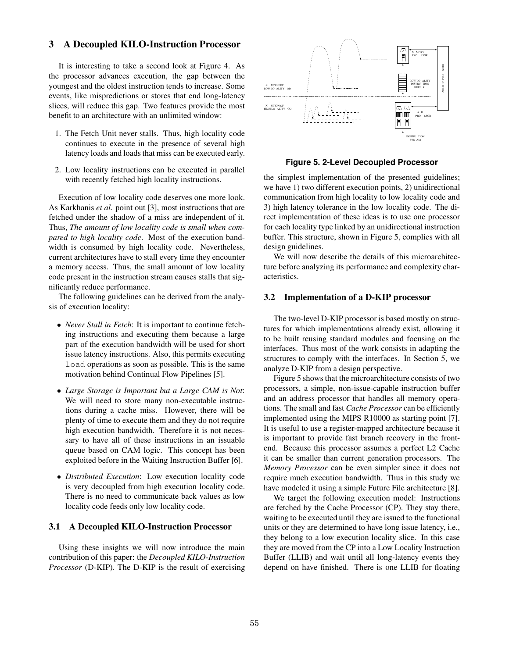### **3 A Decoupled KILO-Instruction Processor**

It is interesting to take a second look at Figure 4. As the processor advances execution, the gap between the youngest and the oldest instruction tends to increase. Some events, like mispredictions or stores that end long-latency slices, will reduce this gap. Two features provide the most benefit to an architecture with an unlimited window:

- 1. The Fetch Unit never stalls. Thus, high locality code continues to execute in the presence of several high latency loads and loads that miss can be executed early.
- 2. Low locality instructions can be executed in parallel with recently fetched high locality instructions.

Execution of low locality code deserves one more look. As Karkhanis *et al.* point out [3], most instructions that are fetched under the shadow of a miss are independent of it. Thus, *The amount of low locality code is small when compared to high locality code*. Most of the execution bandwidth is consumed by high locality code. Nevertheless, current architectures have to stall every time they encounter a memory access. Thus, the small amount of low locality code present in the instruction stream causes stalls that significantly reduce performance.

The following guidelines can be derived from the analysis of execution locality:

- *Never Stall in Fetch*: It is important to continue fetching instructions and executing them because a large part of the execution bandwidth will be used for short issue latency instructions. Also, this permits executing load operations as soon as possible. This is the same motivation behind Continual Flow Pipelines [5].
- *Large Storage is Important but a Large CAM is Not*: We will need to store many non-executable instructions during a cache miss. However, there will be plenty of time to execute them and they do not require high execution bandwidth. Therefore it is not necessary to have all of these instructions in an issuable queue based on CAM logic. This concept has been exploited before in the Waiting Instruction Buffer [6].
- *Distributed Execution*: Low execution locality code is very decoupled from high execution locality code. There is no need to communicate back values as low locality code feeds only low locality code.

#### **3.1 A Decoupled KILO-Instruction Processor**

Using these insights we will now introduce the main contribution of this paper: the *Decoupled KILO-Instruction Processor* (D-KIP). The D-KIP is the result of exercising



**Figure 5. 2-Level Decoupled Processor**

the simplest implementation of the presented guidelines; we have 1) two different execution points, 2) unidirectional communication from high locality to low locality code and 3) high latency tolerance in the low locality code. The direct implementation of these ideas is to use one processor for each locality type linked by an unidirectional instruction buffer. This structure, shown in Figure 5, complies with all design guidelines.

We will now describe the details of this microarchitecture before analyzing its performance and complexity characteristics.

#### **3.2 Implementation of a D-KIP processor**

The two-level D-KIP processor is based mostly on structures for which implementations already exist, allowing it to be built reusing standard modules and focusing on the interfaces. Thus most of the work consists in adapting the structures to comply with the interfaces. In Section 5, we analyze D-KIP from a design perspective.

Figure 5 shows that the microarchitecture consists of two processors, a simple, non-issue-capable instruction buffer and an address processor that handles all memory operations. The small and fast *Cache Processor* can be efficiently implemented using the MIPS R10000 as starting point [7]. It is useful to use a register-mapped architecture because it is important to provide fast branch recovery in the frontend. Because this processor assumes a perfect L2 Cache it can be smaller than current generation processors. The *Memory Processor* can be even simpler since it does not require much execution bandwidth. Thus in this study we have modeled it using a simple Future File architecture [8].

We target the following execution model: Instructions are fetched by the Cache Processor (CP). They stay there, waiting to be executed until they are issued to the functional units or they are determined to have long issue latency, i.e., they belong to a low execution locality slice. In this case they are moved from the CP into a Low Locality Instruction Buffer (LLIB) and wait until all long-latency events they depend on have finished. There is one LLIB for floating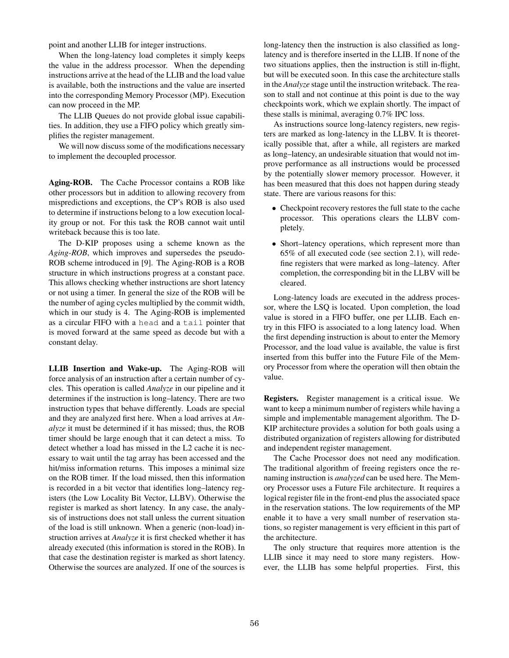point and another LLIB for integer instructions.

When the long-latency load completes it simply keeps the value in the address processor. When the depending instructions arrive at the head of the LLIB and the load value is available, both the instructions and the value are inserted into the corresponding Memory Processor (MP). Execution can now proceed in the MP.

The LLIB Queues do not provide global issue capabilities. In addition, they use a FIFO policy which greatly simplifies the register management.

We will now discuss some of the modifications necessary to implement the decoupled processor.

**Aging-ROB.** The Cache Processor contains a ROB like other processors but in addition to allowing recovery from mispredictions and exceptions, the CP's ROB is also used to determine if instructions belong to a low execution locality group or not. For this task the ROB cannot wait until writeback because this is too late.

The D-KIP proposes using a scheme known as the *Aging-ROB*, which improves and supersedes the pseudo-ROB scheme introduced in [9]. The Aging-ROB is a ROB structure in which instructions progress at a constant pace. This allows checking whether instructions are short latency or not using a timer. In general the size of the ROB will be the number of aging cycles multiplied by the commit width, which in our study is 4. The Aging-ROB is implemented as a circular FIFO with a head and a tail pointer that is moved forward at the same speed as decode but with a constant delay.

**LLIB Insertion and Wake-up.** The Aging-ROB will force analysis of an instruction after a certain number of cycles. This operation is called *Analyze* in our pipeline and it determines if the instruction is long–latency. There are two instruction types that behave differently. Loads are special and they are analyzed first here. When a load arrives at *Analyze* it must be determined if it has missed; thus, the ROB timer should be large enough that it can detect a miss. To detect whether a load has missed in the L2 cache it is necessary to wait until the tag array has been accessed and the hit/miss information returns. This imposes a minimal size on the ROB timer. If the load missed, then this information is recorded in a bit vector that identifies long–latency registers (the Low Locality Bit Vector, LLBV). Otherwise the register is marked as short latency. In any case, the analysis of instructions does not stall unless the current situation of the load is still unknown. When a generic (non-load) instruction arrives at *Analyze* it is first checked whether it has already executed (this information is stored in the ROB). In that case the destination register is marked as short latency. Otherwise the sources are analyzed. If one of the sources is

long-latency then the instruction is also classified as longlatency and is therefore inserted in the LLIB. If none of the two situations applies, then the instruction is still in-flight, but will be executed soon. In this case the architecture stalls in the *Analyze* stage until the instruction writeback. The reason to stall and not continue at this point is due to the way checkpoints work, which we explain shortly. The impact of these stalls is minimal, averaging 0.7% IPC loss.

As instructions source long-latency registers, new registers are marked as long-latency in the LLBV. It is theoretically possible that, after a while, all registers are marked as long–latency, an undesirable situation that would not improve performance as all instructions would be processed by the potentially slower memory processor. However, it has been measured that this does not happen during steady state. There are various reasons for this:

- Checkpoint recovery restores the full state to the cache processor. This operations clears the LLBV completely.
- Short–latency operations, which represent more than 65% of all executed code (see section 2.1), will redefine registers that were marked as long–latency. After completion, the corresponding bit in the LLBV will be cleared.

Long-latency loads are executed in the address processor, where the LSQ is located. Upon completion, the load value is stored in a FIFO buffer, one per LLIB. Each entry in this FIFO is associated to a long latency load. When the first depending instruction is about to enter the Memory Processor, and the load value is available, the value is first inserted from this buffer into the Future File of the Memory Processor from where the operation will then obtain the value.

**Registers.** Register management is a critical issue. We want to keep a minimum number of registers while having a simple and implementable management algorithm. The D-KIP architecture provides a solution for both goals using a distributed organization of registers allowing for distributed and independent register management.

The Cache Processor does not need any modification. The traditional algorithm of freeing registers once the renaming instruction is *analyzed* can be used here. The Memory Processor uses a Future File architecture. It requires a logical register file in the front-end plus the associated space in the reservation stations. The low requirements of the MP enable it to have a very small number of reservation stations, so register management is very efficient in this part of the architecture.

The only structure that requires more attention is the LLIB since it may need to store many registers. However, the LLIB has some helpful properties. First, this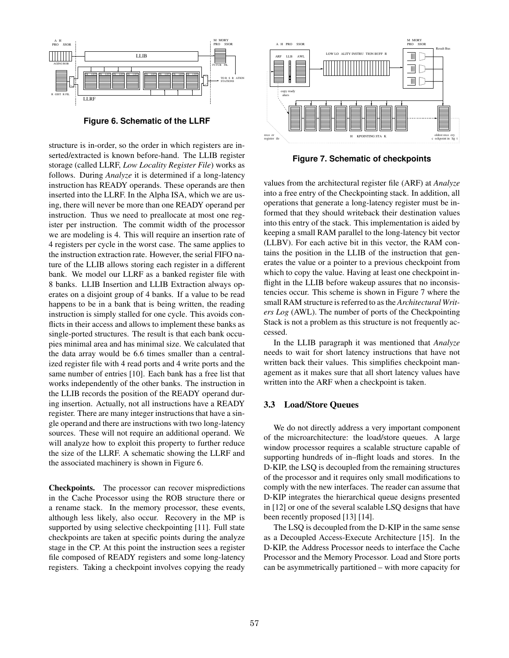

**Figure 6. Schematic of the LLRF**

structure is in-order, so the order in which registers are inserted/extracted is known before-hand. The LLIB register storage (called LLRF, *Low Locality Register File*) works as follows. During *Analyze* it is determined if a long-latency instruction has READY operands. These operands are then inserted into the LLRF. In the Alpha ISA, which we are using, there will never be more than one READY operand per instruction. Thus we need to preallocate at most one register per instruction. The commit width of the processor we are modeling is 4. This will require an insertion rate of 4 registers per cycle in the worst case. The same applies to the instruction extraction rate. However, the serial FIFO nature of the LLIB allows storing each register in a different bank. We model our LLRF as a banked register file with 8 banks. LLIB Insertion and LLIB Extraction always operates on a disjoint group of 4 banks. If a value to be read happens to be in a bank that is being written, the reading instruction is simply stalled for one cycle. This avoids conflicts in their access and allows to implement these banks as single-ported structures. The result is that each bank occupies minimal area and has minimal size. We calculated that the data array would be 6.6 times smaller than a centralized register file with 4 read ports and 4 write ports and the same number of entries [10]. Each bank has a free list that works independently of the other banks. The instruction in the LLIB records the position of the READY operand during insertion. Actually, not all instructions have a READY register. There are many integer instructions that have a single operand and there are instructions with two long-latency sources. These will not require an additional operand. We will analyze how to exploit this property to further reduce the size of the LLRF. A schematic showing the LLRF and the associated machinery is shown in Figure 6.

**Checkpoints.** The processor can recover mispredictions in the Cache Processor using the ROB structure there or a rename stack. In the memory processor, these events, although less likely, also occur. Recovery in the MP is supported by using selective checkpointing [11]. Full state checkpoints are taken at specific points during the analyze stage in the CP. At this point the instruction sees a register file composed of READY registers and some long-latency registers. Taking a checkpoint involves copying the ready



**Figure 7. Schematic of checkpoints**

values from the architectural register file (ARF) at *Analyze* into a free entry of the Checkpointing stack. In addition, all operations that generate a long-latency register must be informed that they should writeback their destination values into this entry of the stack. This implementation is aided by keeping a small RAM parallel to the long-latency bit vector (LLBV). For each active bit in this vector, the RAM contains the position in the LLIB of the instruction that generates the value or a pointer to a previous checkpoint from which to copy the value. Having at least one checkpoint inflight in the LLIB before wakeup assures that no inconsistencies occur. This scheme is shown in Figure 7 where the small RAM structure is referred to as the *Architectural Writers Log* (AWL). The number of ports of the Checkpointing Stack is not a problem as this structure is not frequently accessed.

In the LLIB paragraph it was mentioned that *Analyze* needs to wait for short latency instructions that have not written back their values. This simplifies checkpoint management as it makes sure that all short latency values have written into the ARF when a checkpoint is taken.

#### **3.3 Load/Store Queues**

We do not directly address a very important component of the microarchitecture: the load/store queues. A large window processor requires a scalable structure capable of supporting hundreds of in–flight loads and stores. In the D-KIP, the LSQ is decoupled from the remaining structures of the processor and it requires only small modifications to comply with the new interfaces. The reader can assume that D-KIP integrates the hierarchical queue designs presented in [12] or one of the several scalable LSQ designs that have been recently proposed [13] [14].

The LSQ is decoupled from the D-KIP in the same sense as a Decoupled Access-Execute Architecture [15]. In the D-KIP, the Address Processor needs to interface the Cache Processor and the Memory Processor. Load and Store ports can be asymmetrically partitioned – with more capacity for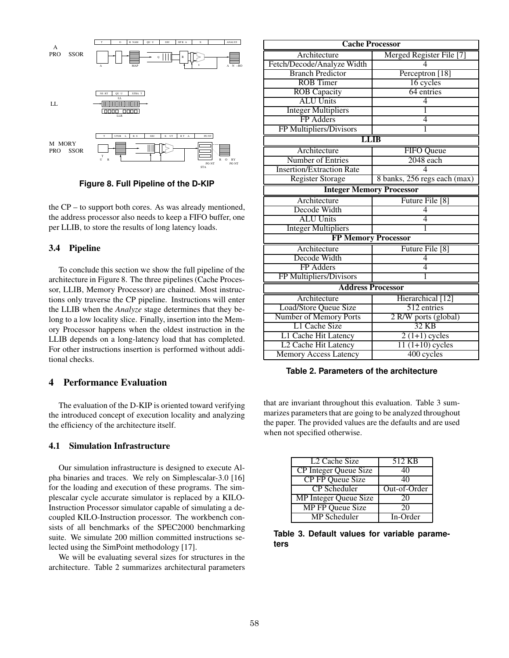

**Figure 8. Full Pipeline of the D-KIP**

the CP – to support both cores. As was already mentioned, the address processor also needs to keep a FIFO buffer, one per LLIB, to store the results of long latency loads.

## **3.4 Pipeline**

To conclude this section we show the full pipeline of the architecture in Figure 8. The three pipelines (Cache Processor, LLIB, Memory Processor) are chained. Most instructions only traverse the CP pipeline. Instructions will enter the LLIB when the *Analyze* stage determines that they belong to a low locality slice. Finally, insertion into the Memory Processor happens when the oldest instruction in the LLIB depends on a long-latency load that has completed. For other instructions insertion is performed without additional checks.

#### **4 Performance Evaluation**

The evaluation of the D-KIP is oriented toward verifying the introduced concept of execution locality and analyzing the efficiency of the architecture itself.

#### **4.1 Simulation Infrastructure**

Our simulation infrastructure is designed to execute Alpha binaries and traces. We rely on Simplescalar-3.0 [16] for the loading and execution of these programs. The simplescalar cycle accurate simulator is replaced by a KILO-Instruction Processor simulator capable of simulating a decoupled KILO-Instruction processor. The workbench consists of all benchmarks of the SPEC2000 benchmarking suite. We simulate 200 million committed instructions selected using the SimPoint methodology [17].

We will be evaluating several sizes for structures in the architecture. Table 2 summarizes architectural parameters

| <b>Cache Processor</b>           |                              |  |  |  |  |
|----------------------------------|------------------------------|--|--|--|--|
| Architecture                     | Merged Register File [7]     |  |  |  |  |
| Fetch/Decode/Analyze Width       |                              |  |  |  |  |
| <b>Branch Predictor</b>          | Perceptron [18]              |  |  |  |  |
| <b>ROB</b> Timer                 | 16 cycles                    |  |  |  |  |
| <b>ROB</b> Capacity              | 64 entries                   |  |  |  |  |
| <b>ALU Units</b>                 | 4                            |  |  |  |  |
| <b>Integer Multipliers</b>       | 1                            |  |  |  |  |
| FP Adders                        | 4                            |  |  |  |  |
| FP Multipliers/Divisors          | 1                            |  |  |  |  |
| <b>LLIB</b>                      |                              |  |  |  |  |
| Architecture                     | FIFO Queue                   |  |  |  |  |
| Number of Entries                | 2048 each                    |  |  |  |  |
| <b>Insertion/Extraction Rate</b> |                              |  |  |  |  |
| <b>Register Storage</b>          | 8 banks, 256 regs each (max) |  |  |  |  |
| <b>Integer Memory Processor</b>  |                              |  |  |  |  |
| Architecture                     | Future File [8]              |  |  |  |  |
| Decode Width                     | 4                            |  |  |  |  |
| <b>ALU Units</b>                 | 4                            |  |  |  |  |
| <b>Integer Multipliers</b>       | 1                            |  |  |  |  |
| <b>FP Memory Processor</b>       |                              |  |  |  |  |
| Architecture                     | Future File [8]              |  |  |  |  |
| Decode Width                     | 4                            |  |  |  |  |
| FP Adders                        | 4                            |  |  |  |  |
| FP Multipliers/Divisors          | 1                            |  |  |  |  |
| <b>Address Processor</b>         |                              |  |  |  |  |
| Architecture                     | Hierarchical [12]            |  |  |  |  |
| Load/Store Queue Size            | 512 entries                  |  |  |  |  |
| Number of Memory Ports           | 2 R/W ports (global)         |  |  |  |  |
| L1 Cache Size                    | 32 KB                        |  |  |  |  |
| L1 Cache Hit Latency             | $2(1+1)$ cycles              |  |  |  |  |
| L2 Cache Hit Latency             | $11(1+10)$ cycles            |  |  |  |  |
| <b>Memory Access Latency</b>     | 400 cycles                   |  |  |  |  |

**Table 2. Parameters of the architecture**

that are invariant throughout this evaluation. Table 3 summarizes parameters that are going to be analyzed throughout the paper. The provided values are the defaults and are used when not specified otherwise.

| L <sub>2</sub> Cache Size    | 512 KB       |
|------------------------------|--------------|
| CP Integer Queue Size        | 40           |
| CP FP Queue Size             | 40           |
| <b>CP</b> Scheduler          | Out-of-Order |
| <b>MP</b> Integer Queue Size | 20           |
| <b>MP FP Queue Size</b>      | 20           |
| <b>MP</b> Scheduler          | In-Order     |

**Table 3. Default values for variable parameters**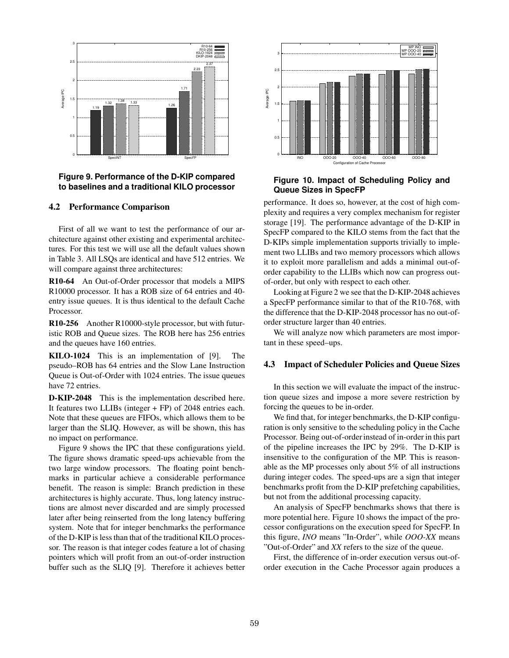

#### **Figure 9. Performance of the D-KIP compared to baselines and a traditional KILO processor**

### **4.2 Performance Comparison**

First of all we want to test the performance of our architecture against other existing and experimental architectures. For this test we will use all the default values shown in Table 3. All LSQs are identical and have 512 entries. We will compare against three architectures:

**R10-64** An Out-of-Order processor that models a MIPS R10000 processor. It has a ROB size of 64 entries and 40 entry issue queues. It is thus identical to the default Cache Processor.

**R10-256** Another R10000-style processor, but with futuristic ROB and Queue sizes. The ROB here has 256 entries and the queues have 160 entries.

**KILO-1024** This is an implementation of [9]. The pseudo–ROB has 64 entries and the Slow Lane Instruction Queue is Out-of-Order with 1024 entries. The issue queues have 72 entries.

**D-KIP-2048** This is the implementation described here. It features two LLIBs (integer + FP) of 2048 entries each. Note that these queues are FIFOs, which allows them to be larger than the SLIQ. However, as will be shown, this has no impact on performance.

Figure 9 shows the IPC that these configurations yield. The figure shows dramatic speed-ups achievable from the two large window processors. The floating point benchmarks in particular achieve a considerable performance benefit. The reason is simple: Branch prediction in these architectures is highly accurate. Thus, long latency instructions are almost never discarded and are simply processed later after being reinserted from the long latency buffering system. Note that for integer benchmarks the performance of the D-KIP is less than that of the traditional KILO processor. The reason is that integer codes feature a lot of chasing pointers which will profit from an out-of-order instruction buffer such as the SLIQ [9]. Therefore it achieves better



#### **Figure 10. Impact of Scheduling Policy and Queue Sizes in SpecFP**

performance. It does so, however, at the cost of high complexity and requires a very complex mechanism for register storage [19]. The performance advantage of the D-KIP in SpecFP compared to the KILO stems from the fact that the D-KIPs simple implementation supports trivially to implement two LLIBs and two memory processors which allows it to exploit more parallelism and adds a minimal out-oforder capability to the LLIBs which now can progress outof-order, but only with respect to each other.

Looking at Figure 2 we see that the D-KIP-2048 achieves a SpecFP performance similar to that of the R10-768, with the difference that the D-KIP-2048 processor has no out-oforder structure larger than 40 entries.

We will analyze now which parameters are most important in these speed–ups.

## **4.3 Impact of Scheduler Policies and Queue Sizes**

In this section we will evaluate the impact of the instruction queue sizes and impose a more severe restriction by forcing the queues to be in-order.

We find that, for integer benchmarks, the D-KIP configuration is only sensitive to the scheduling policy in the Cache Processor. Being out-of-orderinstead of in-order in this part of the pipeline increases the IPC by 29%. The D-KIP is insensitive to the configuration of the MP. This is reasonable as the MP processes only about 5% of all instructions during integer codes. The speed-ups are a sign that integer benchmarks profit from the D-KIP prefetching capabilities, but not from the additional processing capacity.

An analysis of SpecFP benchmarks shows that there is more potential here. Figure 10 shows the impact of the processor configurations on the execution speed for SpecFP. In this figure, *INO* means "In-Order", while *OOO-XX* means "Out-of-Order" and *XX* refers to the size of the queue.

First, the difference of in-order execution versus out-oforder execution in the Cache Processor again produces a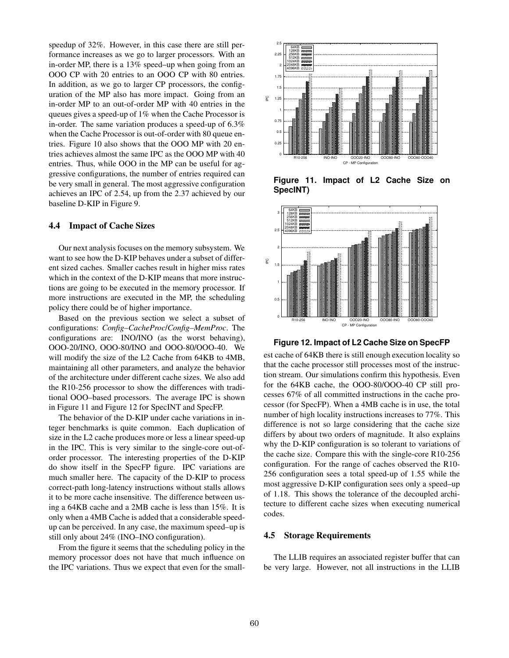speedup of 32%. However, in this case there are still performance increases as we go to larger processors. With an in-order MP, there is a 13% speed–up when going from an OOO CP with 20 entries to an OOO CP with 80 entries. In addition, as we go to larger CP processors, the configuration of the MP also has more impact. Going from an in-order MP to an out-of-order MP with 40 entries in the queues gives a speed-up of 1% when the Cache Processor is in-order. The same variation produces a speed-up of 6.3% when the Cache Processor is out-of-order with 80 queue entries. Figure 10 also shows that the OOO MP with 20 entries achieves almost the same IPC as the OOO MP with 40 entries. Thus, while OOO in the MP can be useful for aggressive configurations, the number of entries required can be very small in general. The most aggressive configuration achieves an IPC of 2.54, up from the 2.37 achieved by our baseline D-KIP in Figure 9.

#### **4.4 Impact of Cache Sizes**

Our next analysis focuses on the memory subsystem. We want to see how the D-KIP behaves under a subset of different sized caches. Smaller caches result in higher miss rates which in the context of the D-KIP means that more instructions are going to be executed in the memory processor. If more instructions are executed in the MP, the scheduling policy there could be of higher importance.

Based on the previous section we select a subset of configurations: *Config–CacheProc*/*Config–MemProc*. The configurations are: INO/INO (as the worst behaving), OOO-20/INO, OOO-80/INO and OOO-80/OOO-40. We will modify the size of the L2 Cache from 64KB to 4MB, maintaining all other parameters, and analyze the behavior of the architecture under different cache sizes. We also add the R10-256 processor to show the differences with traditional OOO–based processors. The average IPC is shown in Figure 11 and Figure 12 for SpecINT and SpecFP.

The behavior of the D-KIP under cache variations in integer benchmarks is quite common. Each duplication of size in the L2 cache produces more or less a linear speed-up in the IPC. This is very similar to the single-core out-oforder processor. The interesting properties of the D-KIP do show itself in the SpecFP figure. IPC variations are much smaller here. The capacity of the D-KIP to process correct-path long-latency instructions without stalls allows it to be more cache insensitive. The difference between using a 64KB cache and a 2MB cache is less than 15%. It is only when a 4MB Cache is added that a considerable speedup can be perceived. In any case, the maximum speed–up is still only about 24% (INO–INO configuration).

From the figure it seems that the scheduling policy in the memory processor does not have that much influence on the IPC variations. Thus we expect that even for the small-



**Figure 11. Impact of L2 Cache Size on SpecINT)**



**Figure 12. Impact of L2 Cache Size on SpecFP**

est cache of 64KB there is still enough execution locality so that the cache processor still processes most of the instruction stream. Our simulations confirm this hypothesis. Even for the 64KB cache, the OOO-80/OOO-40 CP still processes 67% of all committed instructions in the cache processor (for SpecFP). When a 4MB cache is in use, the total number of high locality instructions increases to 77%. This difference is not so large considering that the cache size differs by about two orders of magnitude. It also explains why the D-KIP configuration is so tolerant to variations of the cache size. Compare this with the single-core R10-256 configuration. For the range of caches observed the R10- 256 configuration sees a total speed-up of 1.55 while the most aggressive D-KIP configuration sees only a speed–up of 1.18. This shows the tolerance of the decoupled architecture to different cache sizes when executing numerical codes.

#### **4.5 Storage Requirements**

The LLIB requires an associated register buffer that can be very large. However, not all instructions in the LLIB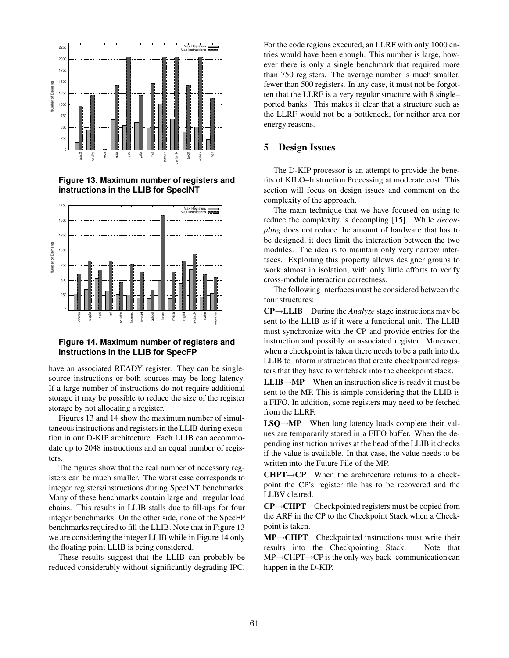

**Figure 13. Maximum number of registers and instructions in the LLIB for SpecINT**



## **Figure 14. Maximum number of registers and instructions in the LLIB for SpecFP**

have an associated READY register. They can be singlesource instructions or both sources may be long latency. If a large number of instructions do not require additional storage it may be possible to reduce the size of the register storage by not allocating a register.

Figures 13 and 14 show the maximum number of simultaneous instructions and registers in the LLIB during execution in our D-KIP architecture. Each LLIB can accommodate up to 2048 instructions and an equal number of registers.

The figures show that the real number of necessary registers can be much smaller. The worst case corresponds to integer registers/instructions during SpecINT benchmarks. Many of these benchmarks contain large and irregular load chains. This results in LLIB stalls due to fill-ups for four integer benchmarks. On the other side, none of the SpecFP benchmarks required to fill the LLIB. Note that in Figure 13 we are considering the integer LLIB while in Figure 14 only the floating point LLIB is being considered.

These results suggest that the LLIB can probably be reduced considerably without significantly degrading IPC.

For the code regions executed, an LLRF with only 1000 entries would have been enough. This number is large, however there is only a single benchmark that required more than 750 registers. The average number is much smaller, fewer than 500 registers. In any case, it must not be forgotten that the LLRF is a very regular structure with 8 single– ported banks. This makes it clear that a structure such as the LLRF would not be a bottleneck, for neither area nor energy reasons.

## **5 Design Issues**

The D-KIP processor is an attempt to provide the benefits of KILO–Instruction Processing at moderate cost. This section will focus on design issues and comment on the complexity of the approach.

The main technique that we have focused on using to reduce the complexity is decoupling [15]. While *decoupling* does not reduce the amount of hardware that has to be designed, it does limit the interaction between the two modules. The idea is to maintain only very narrow interfaces. Exploiting this property allows designer groups to work almost in isolation, with only little efforts to verify cross-module interaction correctness.

The following interfaces must be considered between the four structures:

**CP**→**LLIB** During the *Analyze* stage instructions may be sent to the LLIB as if it were a functional unit. The LLIB must synchronize with the CP and provide entries for the instruction and possibly an associated register. Moreover, when a checkpoint is taken there needs to be a path into the LLIB to inform instructions that create checkpointed registers that they have to writeback into the checkpoint stack.

**LLIB** $\rightarrow$ **MP** When an instruction slice is ready it must be sent to the MP. This is simple considering that the LLIB is a FIFO. In addition, some registers may need to be fetched from the LLRF.

**LSQ**→**MP** When long latency loads complete their values are temporarily stored in a FIFO buffer. When the depending instruction arrives at the head of the LLIB it checks if the value is available. In that case, the value needs to be written into the Future File of the MP.

**CHPT**→**CP** When the architecture returns to a checkpoint the CP's register file has to be recovered and the LLBV cleared.

**CP**→**CHPT** Checkpointed registers must be copied from the ARF in the CP to the Checkpoint Stack when a Checkpoint is taken.

**MP**→**CHPT** Checkpointed instructions must write their results into the Checkpointing Stack. Note that MP→CHPT→CP is the only way back–communication can happen in the D-KIP.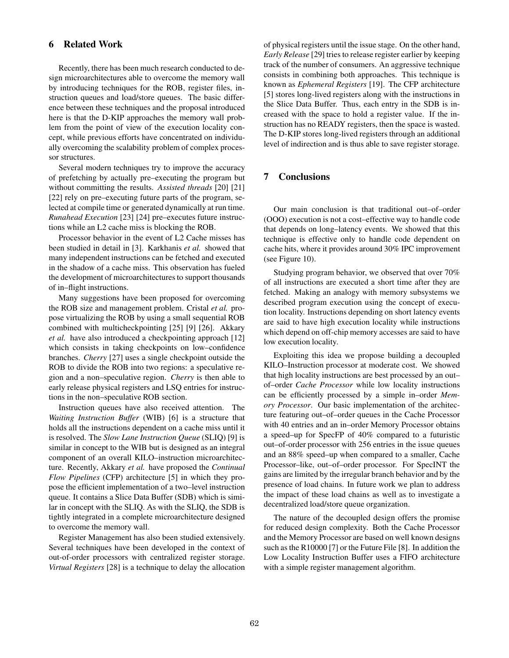## **6 Related Work**

Recently, there has been much research conducted to design microarchitectures able to overcome the memory wall by introducing techniques for the ROB, register files, instruction queues and load/store queues. The basic difference between these techniques and the proposal introduced here is that the D-KIP approaches the memory wall problem from the point of view of the execution locality concept, while previous efforts have concentrated on individually overcoming the scalability problem of complex processor structures.

Several modern techniques try to improve the accuracy of prefetching by actually pre–executing the program but without committing the results. *Assisted threads* [20] [21] [22] rely on pre–executing future parts of the program, selected at compile time or generated dynamically at run time. *Runahead Execution* [23] [24] pre–executes future instructions while an L2 cache miss is blocking the ROB.

Processor behavior in the event of L2 Cache misses has been studied in detail in [3]. Karkhanis *et al.* showed that many independent instructions can be fetched and executed in the shadow of a cache miss. This observation has fueled the development of microarchitectures to support thousands of in–flight instructions.

Many suggestions have been proposed for overcoming the ROB size and management problem. Cristal *et al.* propose virtualizing the ROB by using a small sequential ROB combined with multicheckpointing [25] [9] [26]. Akkary *et al.* have also introduced a checkpointing approach [12] which consists in taking checkpoints on low–confidence branches. *Cherry* [27] uses a single checkpoint outside the ROB to divide the ROB into two regions: a speculative region and a non–speculative region. *Cherry* is then able to early release physical registers and LSQ entries for instructions in the non–speculative ROB section.

Instruction queues have also received attention. The *Waiting Instruction Buffer* (WIB) [6] is a structure that holds all the instructions dependent on a cache miss until it is resolved. The *Slow Lane Instruction Queue* (SLIQ) [9] is similar in concept to the WIB but is designed as an integral component of an overall KILO–instruction microarchitecture. Recently, Akkary *et al.* have proposed the *Continual Flow Pipelines* (CFP) architecture [5] in which they propose the efficient implementation of a two–level instruction queue. It contains a Slice Data Buffer (SDB) which is similar in concept with the SLIQ. As with the SLIQ, the SDB is tightly integrated in a complete microarchitecture designed to overcome the memory wall.

Register Management has also been studied extensively. Several techniques have been developed in the context of out-of-order processors with centralized register storage. *Virtual Registers* [28] is a technique to delay the allocation of physical registers until the issue stage. On the other hand, *Early Release* [29] tries to release register earlier by keeping track of the number of consumers. An aggressive technique consists in combining both approaches. This technique is known as *Ephemeral Registers* [19]. The CFP architecture [5] stores long-lived registers along with the instructions in the Slice Data Buffer. Thus, each entry in the SDB is increased with the space to hold a register value. If the instruction has no READY registers, then the space is wasted. The D-KIP stores long-lived registers through an additional level of indirection and is thus able to save register storage.

## **7 Conclusions**

Our main conclusion is that traditional out–of–order (OOO) execution is not a cost–effective way to handle code that depends on long–latency events. We showed that this technique is effective only to handle code dependent on cache hits, where it provides around 30% IPC improvement (see Figure 10).

Studying program behavior, we observed that over 70% of all instructions are executed a short time after they are fetched. Making an analogy with memory subsystems we described program execution using the concept of execution locality. Instructions depending on short latency events are said to have high execution locality while instructions which depend on off-chip memory accesses are said to have low execution locality.

Exploiting this idea we propose building a decoupled KILO–Instruction processor at moderate cost. We showed that high locality instructions are best processed by an out– of–order *Cache Processor* while low locality instructions can be efficiently processed by a simple in–order *Memory Processor*. Our basic implementation of the architecture featuring out–of–order queues in the Cache Processor with 40 entries and an in–order Memory Processor obtains a speed–up for SpecFP of 40% compared to a futuristic out–of-order processor with 256 entries in the issue queues and an 88% speed–up when compared to a smaller, Cache Processor–like, out–of–order processor. For SpecINT the gains are limited by the irregular branch behavior and by the presence of load chains. In future work we plan to address the impact of these load chains as well as to investigate a decentralized load/store queue organization.

The nature of the decoupled design offers the promise for reduced design complexity. Both the Cache Processor and the Memory Processor are based on well known designs such as the R10000 [7] or the Future File [8]. In addition the Low Locality Instruction Buffer uses a FIFO architecture with a simple register management algorithm.